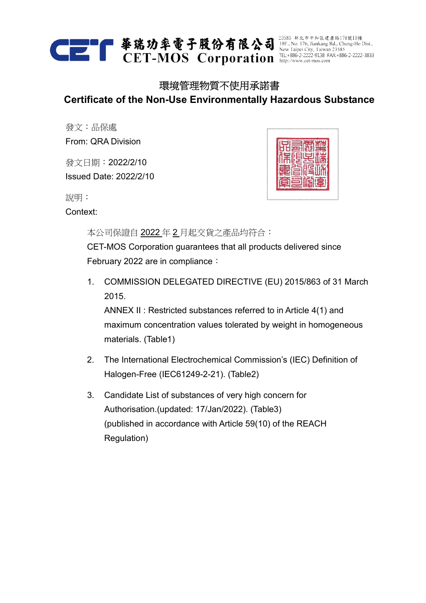

## 環境管理物質不使用承諾書 **Certificate of the Non-Use Environmentally Hazardous Substance**

發文:品保處 From: QRA Division

發文日期:2022/2/10 Issued Date: 2022/2/10



說明:

Context:

本公司保證自 2022 年 2 月起交貨之產品均符合: CET-MOS Corporation guarantees that all products delivered since February 2022 are in compliance:

1. COMMISSION DELEGATED DIRECTIVE (EU) 2015/863 of 31 March 2015.

ANNEX II : Restricted substances referred to in Article 4(1) and maximum concentration values tolerated by weight in homogeneous materials. (Table1)

- 2. The International Electrochemical Commission's (IEC) Definition of Halogen-Free (IEC61249-2-21). (Table2)
- 3. Candidate List of substances of very high concern for Authorisation.(updated: 17/Jan/2022). (Table3) (published in accordance with Article 59(10) of the REACH Regulation)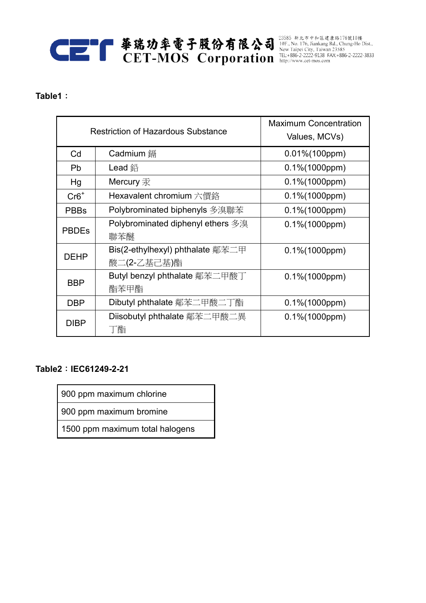# CET-MOS Corporation http://www.cet-mos.com

### **Table1**:

| <b>Restriction of Hazardous Substance</b> |                                                 | <b>Maximum Concentration</b><br>Values, MCVs) |
|-------------------------------------------|-------------------------------------------------|-----------------------------------------------|
| Cd                                        | Cadmium 鎘                                       | $0.01\% (100ppm)$                             |
| <b>Pb</b>                                 | Lead 鉛                                          | $0.1\% (1000ppm)$                             |
| Hg                                        | Mercury 汞                                       | $0.1\% (1000ppm)$                             |
| $Cr6+$                                    | Hexavalent chromium 六價鉻                         | $0.1\% (1000ppm)$                             |
| <b>PBBs</b>                               | Polybrominated biphenyls 多溴聯苯                   | $0.1\% (1000ppm)$                             |
| <b>PBDEs</b>                              | Polybrominated diphenyl ethers 多溴<br>聯苯醚        | $0.1\% (1000ppm)$                             |
| <b>DEHP</b>                               | Bis(2-ethylhexyl) phthalate 鄰苯二甲<br>酸二(2-乙基己基)酯 | $0.1\% (1000ppm)$                             |
| <b>BBP</b>                                | Butyl benzyl phthalate 鄰苯二甲酸丁<br>酯苯甲酯           | $0.1\% (1000ppm)$                             |
| <b>DBP</b>                                | Dibutyl phthalate 鄰苯二甲酸二丁酯                      | $0.1\% (1000ppm)$                             |
| <b>DIBP</b>                               | Diisobutyl phthalate 鄰苯二甲酸二異<br>酯               | $0.1\% (1000ppm)$                             |

## **Table2**:**IEC61249-2-21**

900 ppm maximum chlorine

900 ppm maximum bromine

1500 ppm maximum total halogens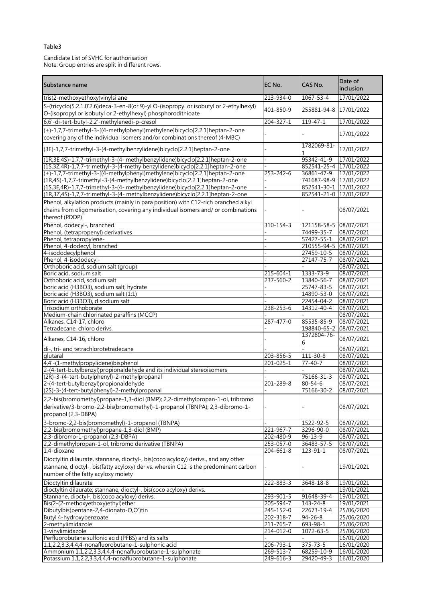#### Table3

Candidate List of SVHC for authorisation Note: Group entries are split in different rows.

| Substance name                                                                                                                                                                            | EC No.                       | CAS No.                     | Date of<br>inclusion     |
|-------------------------------------------------------------------------------------------------------------------------------------------------------------------------------------------|------------------------------|-----------------------------|--------------------------|
| tris(2-methoxyethoxy)vinylsilane                                                                                                                                                          | 213-934-0                    | 1067-53-4                   | 17/01/2022               |
| S-(tricyclo(5.2.1.0'2,6)deca-3-en-8(or 9)-yl O-(isopropyl or isobutyl or 2-ethylhexyl)<br>O-(isopropyl or isobutyl or 2-ethylhexyl) phosphorodithioate                                    | 401-850-9                    | 255881-94-8                 | 17/01/2022               |
| 6,6'-di-tert-butyl-2,2'-methylenedi-p-cresol                                                                                                                                              | $204 - 327 - 1$              | $119 - 47 - 1$              | 17/01/2022               |
| (±)-1,7,7-trimethyl-3-[(4-methylphenyl)methylene]bicyclo[2.2.1]heptan-2-one<br>covering any of the individual isomers and/or combinations thereof (4-MBC)                                 |                              |                             | 17/01/2022               |
| (3E)-1,7,7-trimethyl-3-(4-methylbenzylidene)bicyclo[2.2.1]heptan-2-one                                                                                                                    |                              | 1782069-81-                 | 17/01/2022               |
| (1R,3E,4S)-1,7,7-trimethyl-3-(4- methylbenzylidene)bicyclo[2.2.1]heptan-2-one                                                                                                             |                              | 95342-41-9                  | 17/01/2022               |
| (1S,3Z,4R)-1,7,7-trimethyl-3-(4-methylbenzylidene)bicyclo[2.2.1]heptan-2-one                                                                                                              |                              | 852541-25-4 17/01/2022      |                          |
| (±)-1,7,7-trimethyl-3-[(4-methylphenyl)methylene]bicyclo[2.2.1]heptan-2-one                                                                                                               | 253-242-6                    | 36861-47-9                  | 17/01/2022               |
| (1R,4S)-1,7,7-trimethyl-3-(4-methylbenzylidene)bicyclo[2.2.1]heptan-2-one                                                                                                                 |                              | 741687-98-9                 | 17/01/2022               |
| (1S,3E,4R)-1,7,7-trimethyl-3-(4- methylbenzylidene)bicyclo[2.2.1]heptan-2-one                                                                                                             |                              | 852541-30-1 17/01/2022      |                          |
| (1R,3Z,4S)-1,7,7-trimethyl-3-(4- methylbenzylidene)bicyclo[2.2.1]heptan-2-one                                                                                                             |                              | 852541-21-0 17/01/2022      |                          |
| Phenol, alkylation products (mainly in para position) with C12-rich branched alkyl<br>chains from oligomerisation, covering any individual isomers and/ or combinations<br>thereof (PDDP) |                              |                             | 08/07/2021               |
| Phenol, dodecyl-, branched                                                                                                                                                                | 310-154-3                    | 121158-58-5 08/07/2021      |                          |
| Phenol, (tetrapropenyl) derivatives                                                                                                                                                       |                              | 74499-35-7                  | 08/07/2021               |
| Phenol, tetrapropylene-                                                                                                                                                                   |                              | 57427-55-1                  | 08/07/2021               |
| Phenol, 4-dodecyl, branched                                                                                                                                                               |                              | 210555-94-5                 | 08/07/2021               |
| 4-isododecylphenol                                                                                                                                                                        |                              | 27459-10-5                  | 08/07/2021               |
| Phenol, 4-isododecyl-                                                                                                                                                                     |                              | 27147-75-7                  | 08/07/2021               |
| Orthoboric acid, sodium salt (group)                                                                                                                                                      |                              |                             | 08/07/2021               |
| Boric acid, sodium salt<br>Orthoboric acid, sodium salt                                                                                                                                   | 215-604-1<br>$237 - 560 - 2$ | 1333-73-9<br>13840-56-7     | 08/07/2021<br>08/07/2021 |
| boric acid (H3BO3), sodium salt, hydrate                                                                                                                                                  |                              | 25747-83-5                  | 08/07/2021               |
| boric acid (H3BO3), sodium salt (1:1)                                                                                                                                                     |                              | 14890-53-0                  | 08/07/2021               |
| Boric acid (H3BO3), disodium salt                                                                                                                                                         |                              | 22454-04-2                  | 08/07/2021               |
| Trisodium orthoborate                                                                                                                                                                     | 238-253-6                    | 14312-40-4                  | 08/07/2021               |
| Medium-chain chlorinated paraffins (MCCP)                                                                                                                                                 |                              |                             | 08/07/2021               |
| Alkanes, C14-17, chloro                                                                                                                                                                   | 287-477-0                    | 85535-85-9                  | 08/07/2021               |
| Tetradecane, chloro derivs.                                                                                                                                                               |                              | 198840-65-2                 | 08/07/2021               |
| Alkanes, C14-16, chloro                                                                                                                                                                   |                              | 1372804-76-<br>6            | 08/07/2021               |
| di-, tri- and tetrachlorotetradecane                                                                                                                                                      |                              |                             | 08/07/2021               |
| glutaral                                                                                                                                                                                  | 203-856-5                    | 111-30-8                    | 08/07/2021               |
| 4,4'-(1-methylpropylidene)bisphenol                                                                                                                                                       | 201-025-1                    | $77 - 40 - 7$               | 08/07/2021               |
| 2-(4-tert-butylbenzyl)propionaldehyde and its individual stereoisomers                                                                                                                    |                              |                             | 08/07/2021               |
| (2R)-3-(4-tert-butylphenyl)-2-methylpropanal                                                                                                                                              | 201-289-8                    | 75166-31-3<br>$80 - 54 - 6$ | 08/07/2021<br>08/07/2021 |
| 2-(4-tert-butylbenzyl)propionaldehyde<br>(2S)-3-(4-tert-butylphenyl)-2-methylpropanal                                                                                                     |                              | 75166-30-2                  | 08/07/2021               |
| 2,2-bis(bromomethyl)propane-1,3-diol (BMP); 2,2-dimethylpropan-1-ol, tribromo                                                                                                             |                              |                             |                          |
| derivative/3-bromo-2,2-bis(bromomethyl)-1-propanol (TBNPA); 2,3-dibromo-1-<br>propanol (2,3-DBPA)                                                                                         |                              |                             | 08/07/2021               |
| 3-bromo-2,2-bis(bromomethyl)-1-propanol (TBNPA)                                                                                                                                           |                              | 1522-92-5                   | 08/07/2021               |
| 2,2-bis(bromomethyl)propane-1,3-diol (BMP)                                                                                                                                                | 221-967-7                    | 3296-90-0                   | 08/07/2021               |
| 2,3-dibromo-1-propanol (2,3-DBPA)                                                                                                                                                         | 202-480-9                    | $96 - 13 - 9$               | 08/07/2021               |
| 2,2-dimethylpropan-1-ol, tribromo derivative (TBNPA)                                                                                                                                      | 253-057-0                    | 36483-57-5                  | 08/07/2021               |
| 1,4-dioxane                                                                                                                                                                               | 204-661-8                    | 123-91-1                    | 08/07/2021               |
| Dioctyltin dilaurate, stannane, dioctyl-, bis(coco acyloxy) derivs., and any other                                                                                                        |                              |                             |                          |
| stannane, dioctyl-, bis(fatty acyloxy) derivs. wherein C12 is the predominant carbon                                                                                                      |                              |                             | 19/01/2021               |
| number of the fatty acyloxy moiety                                                                                                                                                        |                              |                             |                          |
| Dioctyltin dilaurate                                                                                                                                                                      | 222-883-3                    | 3648-18-8                   | 19/01/2021               |
| dioctyltin dilaurate; stannane, dioctyl-, bis(coco acyloxy) derivs.                                                                                                                       |                              |                             | 19/01/2021               |
| Stannane, dioctyl-, bis(coco acyloxy) derivs.                                                                                                                                             | 293-901-5                    | 91648-39-4                  | 19/01/2021               |
| Bis(2-(2-methoxyethoxy)ethyl)ether                                                                                                                                                        | $205 - 594 - 7$              | 143-24-8                    | 19/01/2021               |
| Dibutylbis(pentane-2,4-dionato-O,O')tin                                                                                                                                                   | 245-152-0                    | 22673-19-4                  | 25/06/2020               |
| Butyl 4-hydroxybenzoate                                                                                                                                                                   | 202-318-7                    | $94 - 26 - 8$               | 25/06/2020               |
| 2-methylimidazole                                                                                                                                                                         | 211-765-7                    | 693-98-1                    | 25/06/2020               |
| 1-vinylimidazole<br>Perfluorobutane sulfonic acid (PFBS) and its salts                                                                                                                    | 214-012-0                    | 1072-63-5                   | 25/06/2020               |
| 1,1,2,2,3,3,4,4,4-nonafluorobutane-1-sulphonic acid                                                                                                                                       | 206-793-1                    | $375 - 73 - 5$              | 16/01/2020<br>16/01/2020 |
| Ammonium 1,1,2,2,3,3,4,4,4-nonafluorobutane-1-sulphonate                                                                                                                                  | 269-513-7                    | 68259-10-9                  | 16/01/2020               |
| Potassium 1,1,2,2,3,3,4,4,4-nonafluorobutane-1-sulphonate                                                                                                                                 | 249-616-3                    | 29420-49-3                  | 16/01/2020               |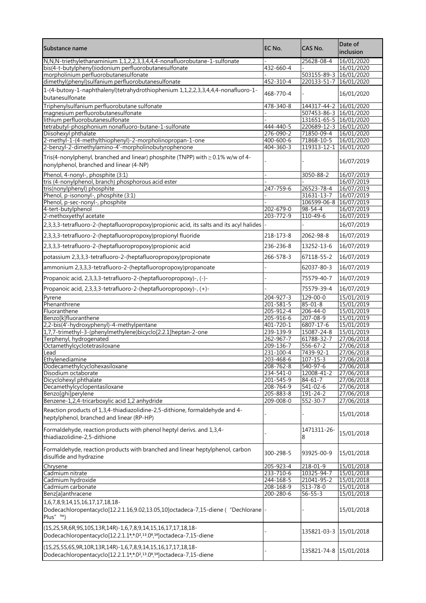| Substance name                                                                                                                                                                                       | EC No.                 | CAS No.                     | Date of<br>inclusion     |
|------------------------------------------------------------------------------------------------------------------------------------------------------------------------------------------------------|------------------------|-----------------------------|--------------------------|
| N, N, N-triethylethanaminium 1, 1, 2, 2, 3, 3, 4, 4, 4-nonafluorobutane-1-sulfonate                                                                                                                  |                        | 25628-08-4                  | 16/01/2020               |
| bis(4-t-butylphenyl)iodonium perfluorobutanesulfonate                                                                                                                                                | 432-660-4              |                             | 16/01/2020               |
| morpholinium perfluorobutanesulfonate                                                                                                                                                                |                        | 503155-89-3                 | 16/01/2020               |
| dimethyl(phenyl)sulfanium perfluorobutanesulfonate                                                                                                                                                   | 452-310-4              | 220133-51-7                 | 16/01/2020               |
| 1-(4-butoxy-1-naphthalenyl)tetrahydrothiophenium 1,1,2,2,3,3,4,4,4-nonafluoro-1-<br>butanesulfonate                                                                                                  | 468-770-4              |                             | 16/01/2020               |
| Triphenylsulfanium perfluorobutane sulfonate                                                                                                                                                         | 478-340-8              | 144317-44-2                 | 16/01/2020               |
| magnesium perfluorobutanesulfonate                                                                                                                                                                   |                        | 507453-86-3 16/01/2020      |                          |
| lithium perfluorobutanesulfonate                                                                                                                                                                     |                        | 131651-65-5 16/01/2020      |                          |
| tetrabutyl-phosphonium nonafluoro-butane-1-sulfonate                                                                                                                                                 | 444-440-5              | 220689-12-3 16/01/2020      |                          |
| Diisohexyl phthalate                                                                                                                                                                                 | 276-090-2              | 71850-09-4                  | 16/01/2020               |
| 2-methyl-1-(4-methylthiophenyl)-2-morpholinopropan-1-one                                                                                                                                             | 400-600-6              | 71868-10-5                  | 16/01/2020               |
| 2-benzyl-2-dimethylamino-4'-morpholinobutyrophenone                                                                                                                                                  | $404 - 360 - 3$        | 119313-12-1                 | 16/01/2020               |
| Tris(4-nonylphenyl, branched and linear) phosphite (TNPP) with $\geq 0.1\%$ w/w of 4-<br>nonylphenol, branched and linear (4-NP)                                                                     |                        |                             | 16/07/2019               |
| Phenol, 4-nonyl-, phosphite (3:1)                                                                                                                                                                    |                        | 3050-88-2                   | 16/07/2019               |
| tris (4-nonylphenol, branch) phosphorous acid ester                                                                                                                                                  |                        |                             | 16/07/2019               |
| tris(nonylphenyl) phosphite                                                                                                                                                                          | 247-759-6              | 26523-78-4                  | 16/07/2019               |
| Phenol, p-isononyl-, phosphite (3:1)                                                                                                                                                                 |                        | 31631-13-7                  | 16/07/2019               |
| Phenol, p-sec-nonyl-, phosphite                                                                                                                                                                      |                        | 106599-06-8                 | 16/07/2019               |
| 4-tert-butylphenol                                                                                                                                                                                   | 202-679-0              | $98 - 54 - 4$               | 16/07/2019               |
| 2-methoxyethyl acetate                                                                                                                                                                               | 203-772-9              | 110-49-6                    | 16/07/2019               |
| 2,3,3,3-tetrafluoro-2-(heptafluoropropoxy)propionic acid, its salts and its acyl halides                                                                                                             |                        |                             | 16/07/2019               |
| 2,3,3,3-tetrafluoro-2-(heptafluoropropoxy)propionyl fluoride                                                                                                                                         | 218-173-8              | 2062-98-8                   | 16/07/2019               |
| 2,3,3,3-tetrafluoro-2-(heptafluoropropoxy)propionic acid                                                                                                                                             | 236-236-8              | 13252-13-6                  | 16/07/2019               |
| potassium 2,3,3,3-tetrafluoro-2-(heptafluoropropoxy)propionate                                                                                                                                       | 266-578-3              | 67118-55-2                  | 16/07/2019               |
| ammonium 2,3,3,3-tetrafluoro-2-(heptafluoropropoxy)propanoate                                                                                                                                        |                        | 62037-80-3                  | 16/07/2019               |
| Propanoic acid, 2,3,3,3-tetrafluoro-2-(heptafluoropropoxy)-, (-)-                                                                                                                                    |                        | 75579-40-7                  | 16/07/2019               |
| Propanoic acid, 2,3,3,3-tetrafluoro-2-(heptafluoropropoxy)-, (+)-                                                                                                                                    |                        | 75579-39-4                  | 16/07/2019               |
| Pyrene                                                                                                                                                                                               | 204-927-3              | 129-00-0                    | 15/01/2019               |
| Phenanthrene                                                                                                                                                                                         | $201 - 581 - 5$        | $85 - 01 - 8$               | 15/01/2019               |
| Fluoranthene                                                                                                                                                                                         | 205-912-4              | $206 - 44 - 0$              | 15/01/2019               |
| Benzo[k]fluoranthene                                                                                                                                                                                 | 205-916-6              | 207-08-9                    | 15/01/2019               |
| 2,2-bis(4'-hydroxyphenyl)-4-methylpentane                                                                                                                                                            | 401-720-1              | 6807-17-6                   | 15/01/2019               |
| 1,7,7-trimethyl-3-(phenylmethylene)bicyclo[2.2.1]heptan-2-one                                                                                                                                        | 239-139-9              | 15087-24-8                  | 15/01/2019               |
| Terphenyl, hydrogenated                                                                                                                                                                              | 262-967-7              | 61788-32-7                  | 27/06/2018               |
| Octamethylcyclotetrasiloxane                                                                                                                                                                         | 209-136-7              | $556 - 67 - 2$              | 27/06/2018               |
| Lead<br>Ethylenediamine                                                                                                                                                                              | 231-100-4<br>203-468-6 | 7439-92-1<br>$107 - 15 - 3$ | 27/06/2018<br>27/06/2018 |
| Dodecamethylcyclohexasiloxane                                                                                                                                                                        | $208 - 762 - 8$        | 540-97-6                    | 27/06/2018               |
| Disodium octaborate                                                                                                                                                                                  | 234-541-0              | 12008-41-2                  | 27/06/2018               |
| Dicyclohexyl phthalate                                                                                                                                                                               | 201-545-9              | $84 - 61 - 7$               | 27/06/2018               |
| Decamethylcyclopentasiloxane                                                                                                                                                                         | 208-764-9              | 541-02-6                    | 27/06/2018               |
| Benzo[ghi]perylene                                                                                                                                                                                   | 205-883-8              | 191-24-2                    | 27/06/2018               |
| Benzene-1,2,4-tricarboxylic acid 1,2 anhydride                                                                                                                                                       | $209 - 008 - 0$        | $552 - 30 - 7$              | 27/06/2018               |
| Reaction products of 1,3,4-thiadiazolidine-2,5-dithione, formaldehyde and 4-<br>heptylphenol, branched and linear (RP-HP)                                                                            |                        |                             | 15/01/2018               |
| Formaldehyde, reaction products with phenol heptyl derivs. and 1,3,4-<br>thiadiazolidine-2,5-dithione                                                                                                |                        | 1471311-26-<br>8            | 15/01/2018               |
| Formaldehyde, reaction products with branched and linear heptylphenol, carbon<br>disulfide and hydrazine                                                                                             | 300-298-5              | 93925-00-9                  | 15/01/2018               |
| Chrysene                                                                                                                                                                                             | 205-923-4              | 218-01-9                    | 15/01/2018               |
| Cadmium nitrate                                                                                                                                                                                      | 233-710-6              | 10325-94-7                  | 15/01/2018               |
| Cadmium hydroxide                                                                                                                                                                                    | 244-168-5              | 21041-95-2                  | 15/01/2018               |
| Cadmium carbonate                                                                                                                                                                                    | 208-168-9              | 513-78-0                    | 15/01/2018               |
| Benz[a]anthracene                                                                                                                                                                                    | 200-280-6              | $56 - 55 - 3$               | 15/01/2018               |
| 1,6,7,8,9,14,15,16,17,17,18,18-<br>Dodecachloropentacyclo[12.2.1.16,9.02,13.05,10]octadeca-7,15-diene ("Dechlorane<br>Plus" ™)                                                                       |                        |                             | 15/01/2018               |
| (1S,2S,5R,6R,9S,10S,13R,14R)-1,6,7,8,9,14,15,16,17,17,18,18-<br>Dodecachloropentacyclo[12.2.1.1 <sup>6</sup> , 0 <sup>2</sup> , <sup>13</sup> .0 <sup>5</sup> , <sup>10</sup> ] octadeca-7, 15-diene |                        | 135821-03-3                 | 15/01/2018               |
| (1S,2S,5S,6S,9R,10R,13R,14R)-1,6,7,8,9,14,15,16,17,17,18,18-<br>Dodecachloropentacyclo[12.2.1.1 <sup>6</sup> , 0 <sup>2</sup> , <sup>13</sup> .0 <sup>5</sup> , <sup>10</sup> ] octadeca-7, 15-diene |                        | 135821-74-8                 | 15/01/2018               |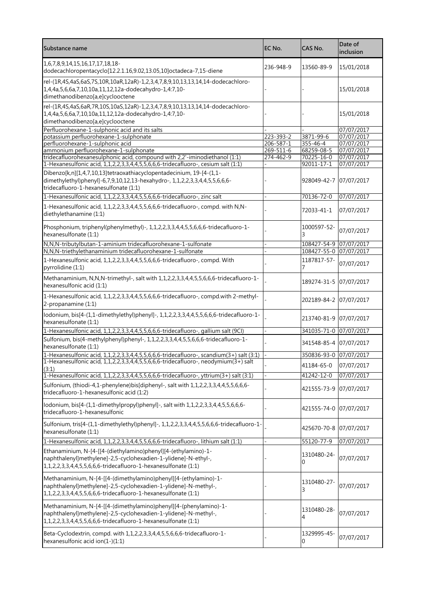| Substance name                                                                                                                                                                                          | EC No.                       | CAS No.                | Date of<br>inclusion     |
|---------------------------------------------------------------------------------------------------------------------------------------------------------------------------------------------------------|------------------------------|------------------------|--------------------------|
| 1,6,7,8,9,14,15,16,17,17,18,18-<br>dodecachloropentacyclo[12.2.1.16,9.02,13.05,10]octadeca-7,15-diene                                                                                                   | 236-948-9                    | 13560-89-9             | 15/01/2018               |
| rel-(1R,4S,4aS,6aS,7S,10R,10aR,12aR)-1,2,3,4,7,8,9,10,13,13,14,14-dodecachloro-<br>1,4,4a,5,6,6a,7,10,10a,11,12,12a-dodecahydro-1,4:7,10-<br>dimethanodibenzo[a,e]cyclooctene                           |                              |                        | 15/01/2018               |
| rel-(1R,4S,4aS,6aR,7R,10S,10aS,12aR)-1,2,3,4,7,8,9,10,13,13,14,14-dodecachloro-<br>1,4,4a,5,6,6a,7,10,10a,11,12,12a-dodecahydro-1,4:7,10-                                                               |                              |                        | 15/01/2018               |
| dimethanodibenzo[a,e]cyclooctene                                                                                                                                                                        |                              |                        |                          |
| Perfluorohexane-1-sulphonic acid and its salts                                                                                                                                                          |                              |                        | 07/07/2017<br>07/07/2017 |
| potassium perfluorohexane-1-sulphonate<br>perfluorohexane-1-sulphonic acid                                                                                                                              | 223-393-2<br>$206 - 587 - 1$ | 3871-99-6<br>355-46-4  | 07/07/2017               |
| ammonium perfluorohexane-1-sulphonate                                                                                                                                                                   | $269 - 511 - 6$              | 68259-08-5             | 07/07/2017               |
| tridecafluorohexanesulphonic acid, compound with 2,2'-iminodiethanol (1:1)                                                                                                                              | 274-462-9                    | 70225-16-0             | 07/07/2017               |
| 1-Hexanesulfonic acid, 1,1,2,2,3,3,4,4,5,5,6,6,6-tridecafluoro-, cesium salt (1:1)                                                                                                                      |                              | 92011-17-1             | 07/07/2017               |
| Dibenzo[k,n][1,4,7,10,13]tetraoxathiacyclopentadecinium, 19-[4-(1,1-<br>dimethylethyl)phenyl]-6,7,9,10,12,13-hexahydro-, 1,1,2,2,3,3,4,4,5,5,6,6,6-<br>tridecafluoro-1-hexanesulfonate (1:1)            |                              | 928049-42-7 07/07/2017 |                          |
| 1-Hexanesulfonic acid, 1,1,2,2,3,3,4,4,5,5,6,6,6-tridecafluoro-, zinc salt                                                                                                                              |                              | 70136-72-0             | 07/07/2017               |
| 1-Hexanesulfonic acid, 1,1,2,2,3,3,4,4,5,5,6,6,6-tridecafluoro-, compd. with N,N-<br>diethylethanamine (1:1)                                                                                            |                              | 72033-41-1             | 07/07/2017               |
| Phosphonium, triphenyl(phenylmethyl)-, 1,1,2,2,3,3,4,4,5,5,6,6,6-tridecafluoro-1-<br>hexanesulfonate (1:1)                                                                                              |                              | 1000597-52-<br>3       | 07/07/2017               |
| N,N,N-tributylbutan-1-aminium tridecafluorohexane-1-sulfonate                                                                                                                                           |                              | 108427-54-9 07/07/2017 |                          |
| N,N,N-triethylethanaminium tridecafluorohexane-1-sulfonate                                                                                                                                              |                              | 108427-55-0 07/07/2017 |                          |
| 1-Hexanesulfonic acid, 1,1,2,2,3,3,4,4,5,5,6,6,6-tridecafluoro-, compd. With<br>pyrrolidine (1:1)                                                                                                       |                              | 1187817-57-            | 07/07/2017               |
| Methanaminium, N,N,N-trimethyl-, salt with 1,1,2,2,3,3,4,4,5,5,6,6,6-tridecafluoro-1-<br>hexanesulfonic acid (1:1)                                                                                      |                              | 189274-31-5 07/07/2017 |                          |
| 1-Hexanesulfonic acid, 1,1,2,2,3,3,4,4,5,5,6,6,6-tridecafluoro-, compd.with 2-methyl-<br>2-propanamine (1:1)                                                                                            |                              | 202189-84-2 07/07/2017 |                          |
| Iodonium, bis[4-(1,1-dimethylethyl)phenyl]-, 1,1,2,2,3,3,4,4,5,5,6,6,6-tridecafluoro-1-<br>hexanesulfonate (1:1)                                                                                        |                              | 213740-81-9 07/07/2017 |                          |
| 1-Hexanesulfonic acid, 1,1,2,2,3,3,4,4,5,5,6,6,6-tridecafluoro-, gallium salt (9CI)                                                                                                                     |                              | 341035-71-0 07/07/2017 |                          |
| Sulfonium, bis(4-methylphenyl)phenyl-, 1,1,2,2,3,3,4,4,5,5,6,6,6-tridecafluoro-1-<br>hexanesulfonate (1:1)                                                                                              |                              | 341548-85-4 07/07/2017 |                          |
| 1-Hexanesulfonic acid, 1,1,2,2,3,3,4,4,5,5,6,6,6-tridecafluoro-, scandium(3+) salt (3:1)                                                                                                                |                              | 350836-93-0 07/07/2017 |                          |
| 1-Hexanesulfonic acid, 1,1,2,2,3,3,4,4,5,5,6,6-tridecafluoro-, neodymium(3+) salt                                                                                                                       |                              | 41184-65-0             | 07/07/2017               |
| (3:1)                                                                                                                                                                                                   |                              |                        |                          |
| 1-Hexanesulfonic acid, 1,1,2,2,3,3,4,4,5,5,6,6,6-tridecafluoro-, yttrium(3+) salt (3:1)                                                                                                                 |                              | 41242-12-0             | 07/07/2017               |
| Sulfonium, (thiodi-4,1-phenylene)bis[diphenyl-, salt with 1,1,2,2,3,3,4,4,5,5,6,6,6-<br>tridecafluoro-1-hexanesulfonic acid (1:2)                                                                       |                              | 421555-73-9 07/07/2017 |                          |
| lodonium, bis[4-(1,1-dimethylpropyl)phenyl]-, salt with 1,1,2,2,3,3,4,4,5,5,6,6,6-<br>tridecafluoro-1-hexanesulfonic                                                                                    |                              | 421555-74-0 07/07/2017 |                          |
| Sulfonium, tris[4-(1,1-dimethylethyl)phenyl]-, 1,1,2,2,3,3,4,4,5,5,6,6,6-tridecafluoro-1-<br>hexanesulfonate (1:1)                                                                                      |                              | 425670-70-8 07/07/2017 |                          |
| 1-Hexanesulfonic acid, 1,1,2,2,3,3,4,4,5,5,6,6,6-tridecafluoro-, lithium salt (1:1)                                                                                                                     |                              | 55120-77-9             | 07/07/2017               |
| Ethanaminium, N-[4-[[4-(diethylamino)phenyl][4-(ethylamino)-1-<br>naphthalenyl]methylene]-2,5-cyclohexadien-1-ylidene]-N-ethyl-,<br>1,1,2,2,3,3,4,4,5,5,6,6,6-tridecafluoro-1-hexanesulfonate (1:1)     |                              | 1310480-24-<br>0       | 07/07/2017               |
| Methanaminium, N-[4-[[4-(dimethylamino)phenyl][4-(ethylamino)-1-<br>naphthalenyl]methylene]-2,5-cyclohexadien-1-ylidene]-N-methyl-,<br>1,1,2,2,3,3,4,4,5,5,6,6,6-tridecafluoro-1-hexanesulfonate (1:1)  |                              | 1310480-27-            | 07/07/2017               |
| Methanaminium, N-[4-[[4-(dimethylamino)phenyl][4-(phenylamino)-1-<br>naphthalenyl]methylene]-2,5-cyclohexadien-1-ylidene]-N-methyl-,<br>1,1,2,2,3,3,4,4,5,5,6,6,6-tridecafluoro-1-hexanesulfonate (1:1) |                              | 1310480-28-            | 07/07/2017               |
| Beta-Cyclodextrin, compd. with 1,1,2,2,3,3,4,4,5,5,6,6,6-tridecafluoro-1-<br>hexanesulfonic acid ion(1-)(1:1)                                                                                           |                              | 1329995-45-<br>0       | 07/07/2017               |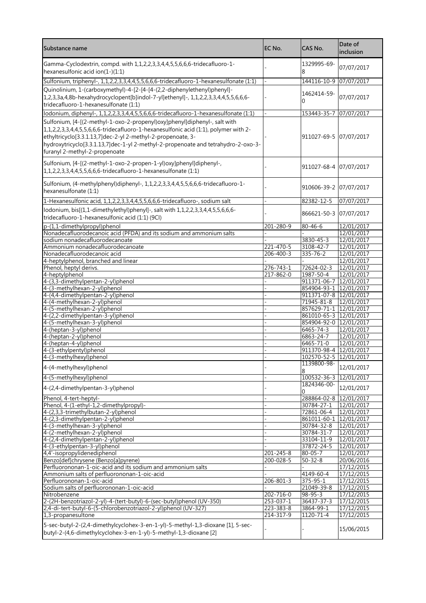| Substance name                                                                                                                                                                                                                                                                                                                                                           | EC No.                 | CAS No.                              | Date of<br>inclusion     |
|--------------------------------------------------------------------------------------------------------------------------------------------------------------------------------------------------------------------------------------------------------------------------------------------------------------------------------------------------------------------------|------------------------|--------------------------------------|--------------------------|
| Gamma-Cyclodextrin, compd. with 1,1,2,2,3,3,4,4,5,5,6,6,6-tridecafluoro-1-<br>hexanesulfonic acid ion(1-)(1:1)                                                                                                                                                                                                                                                           |                        | 1329995-69-<br>8                     | 07/07/2017               |
| Sulfonium, triphenyl-, 1,1,2,2,3,3,4,4,5,5,6,6,6-tridecafluoro-1-hexanesulfonate (1:1)                                                                                                                                                                                                                                                                                   |                        | 144116-10-9                          | 07/07/2017               |
| Quinolinium, 1-(carboxymethyl)-4-[2-[4-[4-(2,2-diphenylethenyl)phenyl]-<br>1,2,3,3a,4,8b-hexahydrocyclopent[b]indol-7-yl]ethenyl]-, 1,1,2,2,3,3,4,4,5,5,6,6,6-<br>tridecafluoro-1-hexanesulfonate (1:1)                                                                                                                                                                  |                        | 1462414-59-<br>O                     | 07/07/2017               |
| lodonium, diphenyl-, 1,1,2,2,3,3,4,4,5,5,6,6,6-tridecafluoro-1-hexanesulfonate (1:1)                                                                                                                                                                                                                                                                                     |                        | 153443-35-7                          | 07/07/2017               |
| Sulfonium, [4-[(2-methyl-1-oxo-2-propenyl)oxy]phenyl]diphenyl-, salt with<br>$1, 1, 2, 2, 3, 3, 4, 4, 5, 5, 6, 6, 6$ -tridecafluoro-1-hexanesulfonic acid $(1:1)$ , polymer with 2-<br>ethyltricyclo[3.3.1.13,7]dec-2-yl 2-methyl-2-propenoate, 3-<br>hydroxytricyclo[3.3.1.13,7]dec-1-yl 2-methyl-2-propenoate and tetrahydro-2-oxo-3-<br>furanyl 2-methyl-2-propenoate |                        | 911027-69-5 07/07/2017               |                          |
| Sulfonium, [4-[(2-methyl-1-oxo-2-propen-1-yl)oxy]phenyl]diphenyl-,<br>1,1,2,2,3,3,4,4,5,5,6,6,6-tridecafluoro-1-hexanesulfonate (1:1)                                                                                                                                                                                                                                    |                        | 911027-68-4 07/07/2017               |                          |
| Sulfonium, (4-methylphenyl)diphenyl-, 1,1,2,2,3,3,4,4,5,5,6,6,6-tridecafluoro-1-<br>hexanesulfonate (1:1)                                                                                                                                                                                                                                                                |                        | 910606-39-2 07/07/2017               |                          |
| 1-Hexanesulfonic acid, 1,1,2,2,3,3,4,4,5,5,6,6,6-tridecafluoro-, sodium salt                                                                                                                                                                                                                                                                                             |                        | 82382-12-5                           | 07/07/2017               |
| lodonium, bis[(1,1-dimethylethyl)phenyl]-, salt with 1,1,2,2,3,3,4,4,5,5,6,6,6-<br>tridecafluoro-1-hexanesulfonic acid (1:1) (9CI)                                                                                                                                                                                                                                       |                        | 866621-50-3 07/07/2017               |                          |
| p-(1,1-dimethylpropyl)phenol                                                                                                                                                                                                                                                                                                                                             | 201-280-9              | $80 - 46 - 6$                        | 12/01/2017               |
| Nonadecafluorodecanoic acid (PFDA) and its sodium and ammonium salts<br>sodium nonadecafluorodecanoate                                                                                                                                                                                                                                                                   |                        | 3830-45-3                            | 12/01/2017<br>12/01/2017 |
| Ammonium nonadecafluorodecanoate                                                                                                                                                                                                                                                                                                                                         | $221 - 470 - 5$        | 3108-42-7                            | 12/01/2017               |
| Nonadecafluorodecanoic acid                                                                                                                                                                                                                                                                                                                                              | 206-400-3              | 335-76-2                             | 12/01/2017               |
| 4-heptylphenol, branched and linear                                                                                                                                                                                                                                                                                                                                      |                        |                                      | 12/01/2017               |
| Phenol, heptyl derivs.                                                                                                                                                                                                                                                                                                                                                   | $276 - 743 - 1$        | 72624-02-3                           | 12/01/2017               |
| 4-heptylphenol                                                                                                                                                                                                                                                                                                                                                           | 217-862-0              | 1987-50-4                            | 12/01/2017               |
| 4-(3,3-dimethylpentan-2-yl)phenol                                                                                                                                                                                                                                                                                                                                        |                        | 911371-06-7                          | 12/01/2017               |
| 4-(3-methylhexan-2-yl)phenol                                                                                                                                                                                                                                                                                                                                             |                        | 854904-93-1 12/01/2017               |                          |
| 4-(4,4-dimethylpentan-2-yl)phenol<br>4-(4-methylhexan-2-yl)phenol                                                                                                                                                                                                                                                                                                        |                        | 911371-07-8 12/01/2017<br>71945-81-8 | 12/01/2017               |
| 4-(5-methylhexan-2-yl)phenol                                                                                                                                                                                                                                                                                                                                             |                        | 857629-71-1 12/01/2017               |                          |
| 4-(2,2-dimethylpentan-3-yl)phenol                                                                                                                                                                                                                                                                                                                                        |                        | 861010-65-3 12/01/2017               |                          |
| 4-(5-methylhexan-3-yl)phenol                                                                                                                                                                                                                                                                                                                                             |                        | 854904-92-0 12/01/2017               |                          |
| 4-(heptan-3-yl)phenol                                                                                                                                                                                                                                                                                                                                                    |                        | 6465-74-3                            | 12/01/2017               |
| 4-(heptan-2-yl)phenol                                                                                                                                                                                                                                                                                                                                                    |                        | 6863-24-7                            | 12/01/2017               |
| 4-(heptan-4-yl)phenol                                                                                                                                                                                                                                                                                                                                                    |                        | 6465-71-0                            | 12/01/2017               |
| 4-(3-ethylpentyl)phenol                                                                                                                                                                                                                                                                                                                                                  |                        | 911370-98-4 12/01/2017               |                          |
| 4-(3-methylhexyl)phenol                                                                                                                                                                                                                                                                                                                                                  |                        | 102570-52-5 12/01/2017               |                          |
| 4-(4-methylhexyl)phenol                                                                                                                                                                                                                                                                                                                                                  |                        | 1139800-98-<br>8                     | 12/01/2017               |
| 4-(5-methylhexyl)phenol                                                                                                                                                                                                                                                                                                                                                  |                        | 100532-36-3                          | 12/01/2017               |
| 4-(2,4-dimethylpentan-3-yl)phenol                                                                                                                                                                                                                                                                                                                                        |                        | 1824346-00-<br>0                     | 12/01/2017               |
| Phenol, 4-tert-heptyl-                                                                                                                                                                                                                                                                                                                                                   |                        | 288864-02-8 12/01/2017               |                          |
| Phenol, 4-(1-ethyl-1,2-dimethylpropyl)-                                                                                                                                                                                                                                                                                                                                  |                        | 30784-27-1                           | 12/01/2017               |
| 4-(2,3,3-trimethylbutan-2-yl)phenol                                                                                                                                                                                                                                                                                                                                      |                        | 72861-06-4                           | 12/01/2017               |
| 4-(2,3-dimethylpentan-2-yl)phenol<br>4-(3-methylhexan-3-yl)phenol                                                                                                                                                                                                                                                                                                        |                        | 861011-60-1<br>30784-32-8            | 12/01/2017<br>12/01/2017 |
| 4-(2-methylhexan-2-yl)phenol                                                                                                                                                                                                                                                                                                                                             |                        | 30784-31-7                           | 12/01/2017               |
| 4-(2,4-dimethylpentan-2-yl)phenol                                                                                                                                                                                                                                                                                                                                        |                        | 33104-11-9                           | 12/01/2017               |
| 4-(3-ethylpentan-3-yl)phenol                                                                                                                                                                                                                                                                                                                                             |                        | 37872-24-5                           | 12/01/2017               |
| 4,4'-isopropylidenediphenol                                                                                                                                                                                                                                                                                                                                              | 201-245-8              | $80 - 05 - 7$                        | 12/01/2017               |
| Benzo[def]chrysene (Benzo[a]pyrene)                                                                                                                                                                                                                                                                                                                                      | 200-028-5              | $50 - 32 - 8$                        | 20/06/2016               |
| Perfluorononan-1-oic-acid and its sodium and ammonium salts                                                                                                                                                                                                                                                                                                              |                        |                                      | 17/12/2015               |
| Ammonium salts of perfluorononan-1-oic-acid                                                                                                                                                                                                                                                                                                                              |                        | 4149-60-4                            | 17/12/2015               |
| Perfluorononan-1-oic-acid                                                                                                                                                                                                                                                                                                                                                | 206-801-3              | 375-95-1                             | 17/12/2015               |
| Sodium salts of perfluorononan-1-oic-acid                                                                                                                                                                                                                                                                                                                                |                        | 21049-39-8                           | 17/12/2015               |
| Nitrobenzene<br>2-(2H-benzotriazol-2-yl)-4-(tert-butyl)-6-(sec-butyl)phenol (UV-350)                                                                                                                                                                                                                                                                                     | 202-716-0<br>253-037-1 | $98 - 95 - 3$<br>36437-37-3          | 17/12/2015<br>17/12/2015 |
| 2,4-di-tert-butyl-6-(5-chlorobenzotriazol-2-yl)phenol (UV-327)                                                                                                                                                                                                                                                                                                           | 223-383-8              | 3864-99-1                            | 17/12/2015               |
| 1,3-propanesultone                                                                                                                                                                                                                                                                                                                                                       | 214-317-9              | 1120-71-4                            | 17/12/2015               |
| 5-sec-butyl-2-(2,4-dimethylcyclohex-3-en-1-yl)-5-methyl-1,3-dioxane [1], 5-sec-<br>butyl-2-(4,6-dimethylcyclohex-3-en-1-yl)-5-methyl-1,3-dioxane [2]                                                                                                                                                                                                                     |                        |                                      | 15/06/2015               |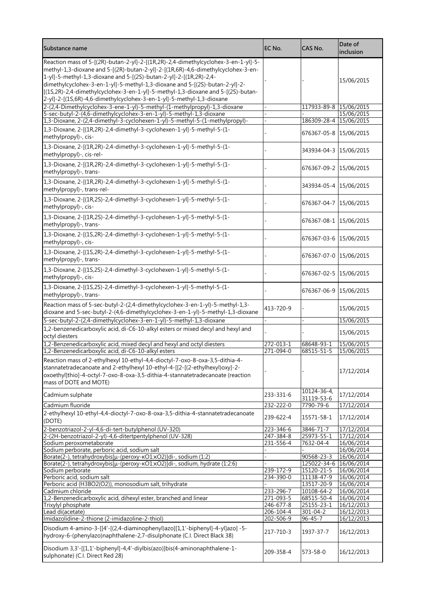| Substance name                                                                                                                                                                                                                                                                                                                                                                                                                                                                           | EC No.                       | CAS No.                         | Date of<br>inclusion     |
|------------------------------------------------------------------------------------------------------------------------------------------------------------------------------------------------------------------------------------------------------------------------------------------------------------------------------------------------------------------------------------------------------------------------------------------------------------------------------------------|------------------------------|---------------------------------|--------------------------|
| Reaction mass of 5-[(2R)-butan-2-yl]-2-[(1R,2R)-2,4-dimethylcyclohex-3-en-1-yl]-5-<br>methyl-1,3-dioxane and 5-[(2R)-butan-2-yl]-2-[(1R,6R)-4,6-dimethylcyclohex-3-en-<br>1-yl]-5-methyl-1,3-dioxane and 5-[(2S)-butan-2-yl]-2-[(1R,2R)-2,4-<br>dimethylcyclohex-3-en-1-yl]-5-methyl-1,3-dioxane and 5-[(2S)-butan-2-yl]-2-<br>[(1S,2R)-2,4-dimethylcyclohex-3-en-1-yl]-5-methyl-1,3-dioxane and 5-[(2S)-butan-<br>2-yl]-2-[(1S,6R)-4,6-dimethylcyclohex-3-en-1-yl]-5-methyl-1,3-dioxane |                              |                                 | 15/06/2015               |
| 2-(2,4-Dimethylcyclohex-3-ene-1-yl)-5-methyl-(1-methylpropyl)-1,3-dioxane                                                                                                                                                                                                                                                                                                                                                                                                                |                              | 117933-89-8 15/06/2015          |                          |
| 5-sec-butyl-2-(4,6-dimethylcyclohex-3-en-1-yl)-5-methyl-1,3-dioxane<br>1,3-Dioxane, 2-(2,4-dimethyl-3-cyclohexen-1-yl)-5-methyl-5-(1-methylpropyl)-                                                                                                                                                                                                                                                                                                                                      |                              | 186309-28-4 15/06/2015          | 15/06/2015               |
| 1,3-Dioxane, 2-[(1R,2R)-2,4-dimethyl-3-cyclohexen-1-yl]-5-methyl-5-(1-<br>methylpropyl)-, cis-                                                                                                                                                                                                                                                                                                                                                                                           |                              | 676367-05-8 15/06/2015          |                          |
| 1,3-Dioxane, 2-[(1R,2R)-2,4-dimethyl-3-cyclohexen-1-yl]-5-methyl-5-(1-<br>methylpropyl)-, cis-rel-                                                                                                                                                                                                                                                                                                                                                                                       |                              | 343934-04-3 15/06/2015          |                          |
| 1,3-Dioxane, 2-[(1R,2R)-2,4-dimethyl-3-cyclohexen-1-yl]-5-methyl-5-(1-<br>methylpropyl)-, trans-                                                                                                                                                                                                                                                                                                                                                                                         |                              | 676367-09-2 15/06/2015          |                          |
| 1,3-Dioxane, 2-[(1R,2R)-2,4-dimethyl-3-cyclohexen-1-yl]-5-methyl-5-(1-<br>methylpropyl)-, trans-rel-                                                                                                                                                                                                                                                                                                                                                                                     |                              | 343934-05-4 15/06/2015          |                          |
| 1,3-Dioxane, 2-[(1R,2S)-2,4-dimethyl-3-cyclohexen-1-yl]-5-methyl-5-(1-<br>methylpropyl)-, cis-                                                                                                                                                                                                                                                                                                                                                                                           |                              | 676367-04-7 15/06/2015          |                          |
| 1,3-Dioxane, 2-[(1R,2S)-2,4-dimethyl-3-cyclohexen-1-yl]-5-methyl-5-(1-<br>methylpropyl)-, trans-                                                                                                                                                                                                                                                                                                                                                                                         |                              | 676367-08-1 15/06/2015          |                          |
| 1,3-Dioxane, 2-[(1S,2R)-2,4-dimethyl-3-cyclohexen-1-yl]-5-methyl-5-(1-<br>methylpropyl)-, cis-                                                                                                                                                                                                                                                                                                                                                                                           |                              | 676367-03-6 15/06/2015          |                          |
| 1,3-Dioxane, 2-[(1S,2R)-2,4-dimethyl-3-cyclohexen-1-yl]-5-methyl-5-(1-<br>methylpropyl)-, trans-                                                                                                                                                                                                                                                                                                                                                                                         |                              | 676367-07-0 15/06/2015          |                          |
| 1,3-Dioxane, 2-[(1S,2S)-2,4-dimethyl-3-cyclohexen-1-yl]-5-methyl-5-(1-<br>methylpropyl)-, cis-                                                                                                                                                                                                                                                                                                                                                                                           |                              | 676367-02-5 15/06/2015          |                          |
| 1,3-Dioxane, 2-[(1S,2S)-2,4-dimethyl-3-cyclohexen-1-yl]-5-methyl-5-(1-<br>methylpropyl)-, trans-                                                                                                                                                                                                                                                                                                                                                                                         |                              | 676367-06-9 15/06/2015          |                          |
| Reaction mass of 5-sec-butyl-2-(2,4-dimethylcyclohex-3-en-1-yl)-5-methyl-1,3-<br>dioxane and 5-sec-butyl-2-(4,6-dimethylcyclohex-3-en-1-yl)-5-methyl-1,3-dioxane                                                                                                                                                                                                                                                                                                                         | 413-720-9                    |                                 | 15/06/2015               |
| 5-sec-butyl-2-(2,4-dimethylcyclohex-3-en-1-yl)-5-methyl-1,3-dioxane                                                                                                                                                                                                                                                                                                                                                                                                                      |                              |                                 | 15/06/2015               |
| 1,2-benzenedicarboxylic acid, di-C6-10-alkyl esters or mixed decyl and hexyl and<br>octyl diesters                                                                                                                                                                                                                                                                                                                                                                                       |                              |                                 | 15/06/2015               |
| 1,2-Benzenedicarboxylic acid, mixed decyl and hexyl and octyl diesters<br>1,2-Benzenedicarboxylic acid, di-C6-10-alkyl esters                                                                                                                                                                                                                                                                                                                                                            | 272-013-1<br>271-094-0       | 68648-93-1<br>68515-51-5        | 15/06/2015<br>15/06/2015 |
| Reaction mass of 2-ethylhexyl 10-ethyl-4,4-dioctyl-7-oxo-8-oxa-3,5-dithia-4-<br>stannatetradecanoate and 2-ethylhexyl 10-ethyl-4-[[2-[(2-ethylhexyl)oxy]-2-<br>oxoethyl]thio]-4-octyl-7-oxo-8-oxa-3,5-dithia-4-stannatetradecanoate (reaction<br>mass of DOTE and MOTE)                                                                                                                                                                                                                  |                              |                                 | 17/12/2014               |
| Cadmium sulphate                                                                                                                                                                                                                                                                                                                                                                                                                                                                         | 233-331-6                    | $10124 - 36 - 4$<br>31119-53-6  | 17/12/2014               |
| Cadmium fluoride                                                                                                                                                                                                                                                                                                                                                                                                                                                                         | 232-222-0                    | 7790-79-6                       | 17/12/2014               |
| 2-ethylhexyl 10-ethyl-4,4-dioctyl-7-oxo-8-oxa-3,5-dithia-4-stannatetradecanoate<br>(DOTE)                                                                                                                                                                                                                                                                                                                                                                                                | 239-622-4                    | 15571-58-1                      | 17/12/2014               |
| 2-benzotriazol-2-yl-4,6-di-tert-butylphenol (UV-320)<br>2-(2H-benzotriazol-2-yl)-4,6-ditertpentylphenol (UV-328)                                                                                                                                                                                                                                                                                                                                                                         | 223-346-6<br>$247 - 384 - 8$ | 3846-71-7<br>25973-55-1         | 17/12/2014<br>17/12/2014 |
| Sodium peroxometaborate                                                                                                                                                                                                                                                                                                                                                                                                                                                                  | 231-556-4                    | 7632-04-4                       | 16/06/2014               |
| Sodium perborate, perboric acid, sodium salt                                                                                                                                                                                                                                                                                                                                                                                                                                             |                              |                                 | 16/06/2014               |
| Borate(2-), tetrahydroxybis[µ-(peroxy-KO1:KO2)]di-, sodium (1:2)                                                                                                                                                                                                                                                                                                                                                                                                                         |                              | 90568-23-3                      | 16/06/2014               |
| Borate(2-), tetrahydroxybis[µ-(peroxy-KO1:KO2)]di-, sodium, hydrate (1:2:6)                                                                                                                                                                                                                                                                                                                                                                                                              | 239-172-9                    | $125022 - 34 - 6$<br>15120-21-5 | 16/06/2014               |
| Sodium perborate<br>Perboric acid, sodium salt                                                                                                                                                                                                                                                                                                                                                                                                                                           | 234-390-0                    | 11138-47-9                      | 16/06/2014<br>16/06/2014 |
| Perboric acid (H3BO2(O2)), monosodium salt, trihydrate                                                                                                                                                                                                                                                                                                                                                                                                                                   |                              | 13517-20-9                      | 16/06/2014               |
| Cadmium chloride                                                                                                                                                                                                                                                                                                                                                                                                                                                                         | 233-296-7                    | 10108-64-2                      | 16/06/2014               |
| 1,2-Benzenedicarboxylic acid, dihexyl ester, branched and linear                                                                                                                                                                                                                                                                                                                                                                                                                         | 271-093-5                    | 68515-50-4                      | 16/06/2014               |
| Trixylyl phosphate                                                                                                                                                                                                                                                                                                                                                                                                                                                                       | 246-677-8                    | 25155-23-1                      | 16/12/2013<br>16/12/2013 |
| Lead di(acetate)<br>Imidazolidine-2-thione (2-imidazoline-2-thiol)                                                                                                                                                                                                                                                                                                                                                                                                                       | 206-104-4<br>202-506-9       | 301-04-2<br>$96 - 45 - 7$       | 16/12/2013               |
| Disodium 4-amino-3-[[4'-[(2,4-diaminophenyl)azo][1,1'-biphenyl]-4-yl]azo] -5-<br>hydroxy-6-(phenylazo)naphthalene-2,7-disulphonate (C.I. Direct Black 38)                                                                                                                                                                                                                                                                                                                                | 217-710-3                    | 1937-37-7                       | 16/12/2013               |
| Disodium 3,3'-[[1,1'-biphenyl]-4,4'-diylbis(azo)]bis(4-aminonaphthalene-1-<br>sulphonate) (C.I. Direct Red 28)                                                                                                                                                                                                                                                                                                                                                                           | 209-358-4                    | 573-58-0                        | 16/12/2013               |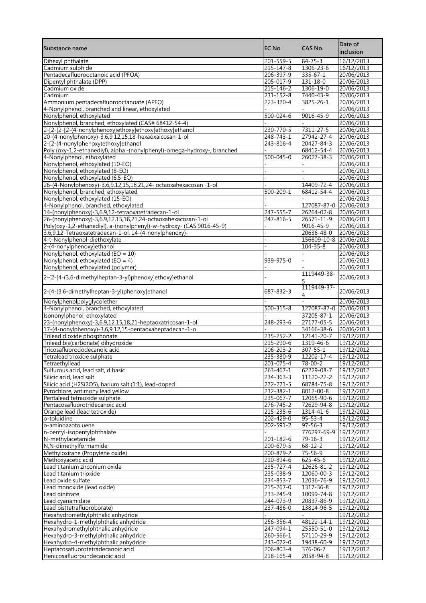| Substance name                                                                   | EC No.                       | CAS No.                                  | Date of<br>inclusion     |
|----------------------------------------------------------------------------------|------------------------------|------------------------------------------|--------------------------|
| Dihexyl phthalate                                                                | 201-559-5                    | $84 - 75 - 3$                            | 16/12/2013               |
| Cadmium sulphide                                                                 | $215 - 147 - 8$              | 1306-23-6                                | 16/12/2013               |
| Pentadecafluorooctanoic acid (PFOA)<br>Dipentyl phthalate (DPP)                  | 206-397-9<br>205-017-9       | $335 - 67 - 1$<br>131-18-0               | 20/06/2013<br>20/06/2013 |
| Cadmium oxide                                                                    | 215-146-2                    | 1306-19-0                                | 20/06/2013               |
| Cadmium                                                                          | 231-152-8                    | 7440-43-9                                | 20/06/2013               |
| Ammonium pentadecafluorooctanoate (APFO)                                         | 223-320-4                    | 3825-26-1                                | 20/06/2013               |
| 4-Nonylphenol, branched and linear, ethoxylated                                  |                              |                                          | 20/06/2013               |
| Nonylphenol, ethoxylated<br>Nonylphenol, branched, ethoxylated (CAS# 68412-54-4) | $500 - 024 - 6$              | 9016-45-9                                | 20/06/2013<br>20/06/2013 |
| 2-[2-[2-[2-(4-nonylphenoxy)ethoxy]ethoxy]ethoxy]ethanol                          | 230-770-5                    | 7311-27-5                                | 20/06/2013               |
| 20-(4-nonylphenoxy)-3,6,9,12,15,18-hexaoxaicosan-1-ol                            | $248 - 743 - 1$              | 27942-27-4                               | 20/06/2013               |
| 2-[2-(4-nonylphenoxy)ethoxy]ethanol                                              | 243-816-4                    | 20427-84-3                               | 20/06/2013               |
| Poly (oxy-1,2-ethanediyl), alpha -(nonylphenyl)-omega-hydroxy-, branched         |                              | 68412-54-4                               | 20/06/2013               |
| 4-Nonylphenol, ethoxylated<br>Nonylphenol, ethoxylated (10-EO)                   | $500 - 045 - 0$              | 26027-38-3                               | 20/06/2013<br>20/06/2013 |
| Nonylphenol, ethoxylated (8-EO)                                                  |                              |                                          | 20/06/2013               |
| Nonylphenol, ethoxylated (6,5-EO)                                                |                              |                                          | 20/06/2013               |
| 26-(4-Nonylphenoxy)-3,6,9,12,15,18,21,24- octaoxahexacosan -1-ol                 |                              | 14409-72-4                               | 20/06/2013               |
| Nonylphenol, branched, ethoxylated                                               | 500-209-1                    | 68412-54-4                               | 20/06/2013               |
| Nonylphenol, ethoxylated (15-EO)<br>4-Nonylphenol, branched, ethoxylated         |                              | 127087-87-0 20/06/2013                   | 20/06/2013               |
| 14-(nonylphenoxy)-3,6,9,12-tetraoxatetradecan-1-ol                               | 247-555-7                    | 26264-02-8                               | 20/06/2013               |
| 26-(nonylphenoxy)-3,6,9,12,15,18,21,24-octaoxahexacosan-1-ol                     | 247-816-5                    | 26571-11-9                               | 20/06/2013               |
| Poly(oxy-1,2-ethanediyl), a-(nonylphenyl)-w-hydroxy- (CAS 9016-45-9)             |                              | 9016-45-9                                | 20/06/2013               |
| 3,6,9,12-Tetraoxatetradecan-1-ol, 14-(4-nonylphenoxy)-                           |                              | 20636-48-0                               | 20/06/2013               |
| 4-t-Nonylphenol-diethoxylate<br>2-(4-nonylphenoxy)ethanol                        |                              | 156609-10-8 20/06/2013<br>$104 - 35 - 8$ | 20/06/2013               |
| Nonylphenol, ethoxylated (EO = 10)                                               |                              |                                          | 20/06/2013               |
| Nonylphenol, ethoxylated (EO = 4)                                                | 939-975-0                    |                                          | 20/06/2013               |
| Nonylphenol, ethoxylated (polymer)                                               |                              |                                          | 20/06/2013               |
| 2-{2-[4-(3,6-dimethylheptan-3-yl)phenoxy]ethoxy}ethanol                          |                              | 1119449-38-<br>5                         | 20/06/2013               |
| 2-[4-(3,6-dimethylheptan-3-yl)phenoxy]ethanol                                    | 687-832-3                    | 1119449-37-<br>4                         | 20/06/2013               |
| Nonylphenolpolyglycolether<br>4-Nonylphenol, branched, ethoxylated               | $500 - 315 - 8$              | 127087-87-0                              | 20/06/2013<br>20/06/2013 |
| Isononylphenol, ethoxylated                                                      |                              | 37205-87-1                               | 20/06/2013               |
| 23-(nonylphenoxy)-3,6,9,12,15,18,21-heptaoxatricosan-1-ol                        | 248-293-6                    | $27177 - 05 - 5$                         | 20/06/2013               |
| 17-(4-nonylphenoxy)-3,6,9,12,15-pentaoxaheptadecan-1-ol                          |                              | 34166-38-6                               | 20/06/2013               |
| Trilead dioxide phosphonate                                                      | 235-252-2                    | 12141-20-7                               | 19/12/2012               |
| Trilead bis(carbonate) dihydroxide<br>Tricosafluorododecanoic acid               | 215-290-6<br>206-203-2       | 1319-46-6<br>$307 - 55 - 1$              | 19/12/2012<br>19/12/2012 |
| Tetralead trioxide sulphate                                                      | 235-380-9                    | 12202-17-4                               | 19/12/2012               |
| Tetraethyllead                                                                   | $201 - 075 - 4$              | $78 - 00 - 2$                            | 19/12/2012               |
| Sulfurous acid, lead salt, dibasic                                               | 263-467-1                    | 62229-08-7                               | 19/12/2012               |
| Silicic acid, lead salt                                                          | 234-363-3                    | 11120-22-2                               | 19/12/2012               |
| Silicic acid (H2Si2O5), barium salt (1:1), lead-doped                            | $272 - 271 - 5$<br>232-382-1 | 68784-75-8<br>$8012 - 00 - 8$            | 19/12/2012<br>19/12/2012 |
| Pyrochlore, antimony lead yellow<br>Pentalead tetraoxide sulphate                | 235-067-7                    | 12065-90-6                               | 19/12/2012               |
| Pentacosafluorotridecanoic acid                                                  | $276 - 745 - 2$              | 72629-94-8                               | 19/12/2012               |
| Orange lead (lead tetroxide)                                                     | 215-235-6                    | 1314-41-6                                | 19/12/2012               |
| o-toluidine                                                                      | 202-429-0                    | $95 - 53 - 4$                            | 19/12/2012               |
| o-aminoazotoluene<br>n-pentyl-isopentylphthalate                                 | $202 - 591 - 2$              | $97 - 56 - 3$<br>776297-69-9             | 19/12/2012<br>19/12/2012 |
| N-methylacetamide                                                                | $201 - 182 - 6$              | $79 - 16 - 3$                            | 19/12/2012               |
| N,N-dimethylformamide                                                            | 200-679-5                    | $68 - 12 - 2$                            | 19/12/2012               |
| Methyloxirane (Propylene oxide)                                                  | 200-879-2                    | 75-56-9                                  | 19/12/2012               |
| Methoxyacetic acid                                                               | 210-894-6                    | $625 - 45 - 6$                           | 19/12/2012               |
| Lead titanium zirconium oxide<br>Lead titanium trioxide                          | 235-727-4                    | 12626-81-2<br>12060-00-3                 | 19/12/2012               |
| Lead oxide sulfate                                                               | 235-038-9<br>234-853-7       | 12036-76-9                               | 19/12/2012<br>19/12/2012 |
| Lead monoxide (lead oxide)                                                       | 215-267-0                    | 1317-36-8                                | 19/12/2012               |
| Lead dinitrate                                                                   | 233-245-9                    | 10099-74-8                               | 19/12/2012               |
| Lead cyanamidate                                                                 | 244-073-9                    | 20837-86-9                               | 19/12/2012               |
| Lead bis(tetrafluoroborate)                                                      | 237-486-0                    | 13814-96-5                               | 19/12/2012               |
| Hexahydromethylphthalic anhydride<br>Hexahydro-1-methylphthalic anhydride        | 256-356-4                    | 48122-14-1                               | 19/12/2012<br>19/12/2012 |
| Hexahydromethylphthalic anhydride                                                | 247-094-1                    | 25550-51-0                               | 19/12/2012               |
| Hexahydro-3-methylphthalic anhydride                                             | 260-566-1                    | 57110-29-9                               | 19/12/2012               |
| Hexahydro-4-methylphthalic anhydride                                             | 243-072-0                    | 19438-60-9                               | 19/12/2012               |
| Heptacosafluorotetradecanoic acid                                                | 206-803-4                    | 376-06-7                                 | 19/12/2012               |
| Henicosafluoroundecanoic acid                                                    | 218-165-4                    | 2058-94-8                                | 19/12/2012               |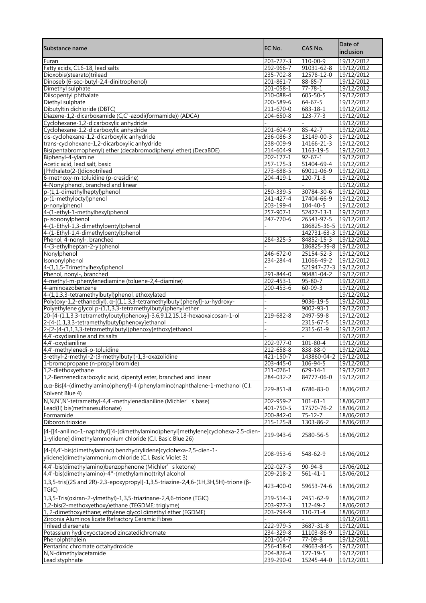| Substance name                                                                                                                                | EC No.                       | CAS No.                                          | Date of<br>inclusion     |
|-----------------------------------------------------------------------------------------------------------------------------------------------|------------------------------|--------------------------------------------------|--------------------------|
| Furan                                                                                                                                         | $203 - 727 - 3$              | 110-00-9                                         | 19/12/2012               |
| Fatty acids, C16-18, lead salts                                                                                                               | 292-966-7                    | 91031-62-8                                       | 19/12/2012               |
| Dioxobis(stearato)trilead                                                                                                                     | 235-702-8                    | $12578 - 12 - 0$                                 | 19/12/2012               |
| Dinoseb (6-sec-butyl-2,4-dinitrophenol)                                                                                                       | $201 - 861 - 7$              | $88 - 85 - 7$                                    | 19/12/2012               |
| Dimethyl sulphate<br>Diisopentyl phthalate                                                                                                    | 201-058-1<br>210-088-4       | $77 - 78 - 1$<br>$605 - 50 - 5$                  | 19/12/2012<br>19/12/2012 |
| Diethyl sulphate                                                                                                                              | 200-589-6                    | $64 - 67 - 5$                                    | 19/12/2012               |
| Dibutyltin dichloride (DBTC)                                                                                                                  | 211-670-0                    | $683 - 18 - 1$                                   | 19/12/2012               |
| Diazene-1,2-dicarboxamide (C,C'-azodi(formamide)) (ADCA)                                                                                      | $204 - 650 - 8$              | $123 - 77 - 3$                                   | 19/12/2012               |
| Cyclohexane-1,2-dicarboxylic anhydride                                                                                                        |                              |                                                  | 19/12/2012               |
| Cyclohexane-1,2-dicarboxylic anhydride                                                                                                        | 201-604-9                    | $85 - 42 - 7$                                    | 19/12/2012               |
| cis-cyclohexane-1,2-dicarboxylic anhydride                                                                                                    | 236-086-3                    | 13149-00-3                                       | 19/12/2012               |
| trans-cyclohexane-1,2-dicarboxylic anhydride                                                                                                  | 238-009-9                    | 14166-21-3                                       | 19/12/2012               |
| Bis(pentabromophenyl) ether (decabromodiphenyl ether) (DecaBDE)                                                                               | 214-604-9                    | 1163-19-5                                        | 19/12/2012               |
| Biphenyl-4-ylamine<br>Acetic acid, lead salt, basic                                                                                           | $202 - 177 - 1$<br>257-175-3 | $92 - 67 - 1$<br>51404-69-4                      | 19/12/2012<br>19/12/2012 |
| [Phthalato(2-)]dioxotrilead                                                                                                                   | 273-688-5                    | 69011-06-9                                       | 19/12/2012               |
| 6-methoxy-m-toluidine (p-cresidine)                                                                                                           | 204-419-1                    | $120 - 71 - 8$                                   | 19/12/2012               |
| 4-Nonylphenol, branched and linear                                                                                                            |                              |                                                  | 19/12/2012               |
| p-(1.1-dimethylheptyl)phenol                                                                                                                  | 250-339-5                    | 30784-30-6                                       | 19/12/2012               |
| p-(1-methyloctyl)phenol                                                                                                                       | 241-427-4                    | 17404-66-9                                       | 19/12/2012               |
| p-nonylphenol                                                                                                                                 | $203 - 199 - 4$              | $104 - 40 - 5$                                   | 19/12/2012               |
| 4-(1-ethyl-1-methylhexyl)phenol                                                                                                               | 257-907-1                    | 52427-13-1                                       | 19/12/2012               |
| p-isononylphenol                                                                                                                              | $247 - 770 - 6$              | 26543-97-5                                       | 19/12/2012               |
| 4-(1-Ethyl-1,3-dimethylpentyl)phenol                                                                                                          |                              | 186825-36-5 19/12/2012<br>142731-63-3 19/12/2012 |                          |
| 4-(1-Ethyl-1,4-dimethylpentyl)phenol<br>Phenol, 4-nonyl-, branched                                                                            | 284-325-5                    | 84852-15-3                                       | 19/12/2012               |
| 4-(3-ethylheptan-2-yl)phenol                                                                                                                  |                              | 186825-39-8 19/12/2012                           |                          |
| Nonylphenol                                                                                                                                   | 246-672-0                    | 25154-52-3                                       | 19/12/2012               |
| Isononylphenol                                                                                                                                | 234-284-4                    | 11066-49-2                                       | 19/12/2012               |
| 4-(1,1,5-Trimethylhexyl)phenol                                                                                                                |                              | 521947-27-3 19/12/2012                           |                          |
| Phenol, nonyl-, branched                                                                                                                      | 291-844-0                    | 90481-04-2                                       | 19/12/2012               |
| 4-methyl-m-phenylenediamine (toluene-2,4-diamine)                                                                                             | 202-453-1                    | 95-80-7                                          | 19/12/2012               |
| 4-aminoazobenzene                                                                                                                             | 200-453-6                    | $60 - 09 - 3$                                    | 19/12/2012               |
| 4-(1,1,3,3-tetramethylbutyl)phenol, ethoxylated<br>Poly(oxy-1,2-ethanediyl), $\alpha$ -[(1,1,3,3-tetramethylbutyl)phenyl]-w-hydroxy-          |                              | 9036-19-5                                        | 19/12/2012<br>19/12/2012 |
| Polyethylene glycol p-(1,1,3,3-tetramethylbutyl)phenyl ether                                                                                  |                              | $9002 - 93 - 1$                                  | 19/12/2012               |
| 20-[4-(1,1,3,3-tetramethylbutyl)phenoxy]-3,6,9,12,15,18-hexaoxaicosan-1-ol                                                                    | 219-682-8                    | $2497 - 59 - 8$                                  | 19/12/2012               |
| 2-[4-(1,1,3,3-tetramethylbutyl)phenoxy]ethanol                                                                                                |                              | 2315-67-5                                        | 19/12/2012               |
| 2-[2-[4-(1,1,3,3-tetramethylbutyl)phenoxy]ethoxy]ethanol                                                                                      |                              | 2315-61-9                                        | 19/12/2012               |
| 4,4'-oxydianiline and its salts                                                                                                               |                              |                                                  | 19/12/2012               |
| 4,4'-oxydianiline<br>4,4'-methylenedi-o-toluidine                                                                                             | 202-977-0<br>212-658-8       | 101-80-4<br>838-88-0                             | 19/12/2012<br>19/12/2012 |
| 3-ethyl-2-methyl-2-(3-methylbutyl)-1,3-oxazolidine                                                                                            | 421-150-7                    | 143860-04-2 19/12/2012                           |                          |
| 1-bromopropane (n-propyl bromide)                                                                                                             | $203 - 445 - 0$              | 106-94-5                                         | 19/12/2012               |
| 1,2-diethoxyethane                                                                                                                            | 211-076-1                    | 629-14-1                                         | 19/12/2012               |
| 1,2-Benzenedicarboxylic acid, dipentyl ester, branched and linear                                                                             | 284-032-2                    | 84777-06-0                                       | 19/12/2012               |
| $\alpha$ , $\alpha$ -Bis[4-(dimethylamino)phenyl]-4 (phenylamino)naphthalene-1-methanol (C.I.<br>Solvent Blue 4)                              | 229-851-8                    | 6786-83-0                                        | 18/06/2012               |
| N, N, N', N'-tetramethyl-4, 4'-methylenedianiline (Michler'<br>s base)                                                                        | 202-959-2                    | $101 - 61 - 1$                                   | 18/06/2012               |
| Lead(II) bis(methanesulfonate)                                                                                                                | 401-750-5                    | 17570-76-2                                       | 18/06/2012               |
| Formamide                                                                                                                                     | 200-842-0                    | $75 - 12 - 7$                                    | 18/06/2012               |
| Diboron trioxide                                                                                                                              | $215 - 125 - 8$              | 1303-86-2                                        | 18/06/2012               |
| [4-[[4-anilino-1-naphthyl][4-(dimethylamino)phenyl]methylene]cyclohexa-2,5-dien-<br>1-ylidene] dimethylammonium chloride (C.I. Basic Blue 26) | 219-943-6                    | 2580-56-5                                        | 18/06/2012               |
| [4-[4,4'-bis(dimethylamino) benzhydrylidene]cyclohexa-2,5-dien-1-<br>ylidene]dimethylammonium chloride (C.I. Basic Violet 3)                  | 208-953-6                    | 548-62-9                                         | 18/06/2012               |
| 4,4'-bis(dimethylamino)benzophenone (Michler' s ketone)                                                                                       | 202-027-5                    | $90 - 94 - 8$                                    | 18/06/2012               |
| 4,4'-bis(dimethylamino)-4"-(methylamino)trityl alcohol                                                                                        | 209-218-2                    | $561 - 41 - 1$                                   | 18/06/2012               |
| 1,3,5-tris[(2S and 2R)-2,3-epoxypropyl]-1,3,5-triazine-2,4,6-(1H,3H,5H)-trione (β-<br>TGIC)                                                   | 423-400-0                    | 59653-74-6                                       | 18/06/2012               |
| 1,3,5-Tris(oxiran-2-ylmethyl)-1,3,5-triazinane-2,4,6-trione (TGIC)                                                                            | 219-514-3                    | 2451-62-9                                        | 18/06/2012               |
| 1,2-bis(2-methoxyethoxy)ethane (TEGDME; triglyme)                                                                                             | 203-977-3                    | 112-49-2                                         | 18/06/2012               |
| 1, 2-dimethoxyethane; ethylene glycol dimethyl ether (EGDME)                                                                                  | 203-794-9                    | $110 - 71 - 4$                                   | 18/06/2012               |
| Zirconia Aluminosilicate Refractory Ceramic Fibres<br>Trilead diarsenate                                                                      | 222-979-5                    | 3687-31-8                                        | 19/12/2011<br>19/12/2011 |
| Potassium hydroxyoctaoxodizincatedichromate                                                                                                   | 234-329-8                    | 11103-86-9                                       | 19/12/2011               |
| Phenolphthalein                                                                                                                               | 201-004-7                    | 77-09-8                                          | 19/12/2011               |
| Pentazinc chromate octahydroxide                                                                                                              | 256-418-0                    | 49663-84-5                                       | 19/12/2011               |
| N,N-dimethylacetamide                                                                                                                         | 204-826-4                    | 127-19-5                                         | 19/12/2011               |
| Lead styphnate                                                                                                                                | 239-290-0                    | 15245-44-0                                       | 19/12/2011               |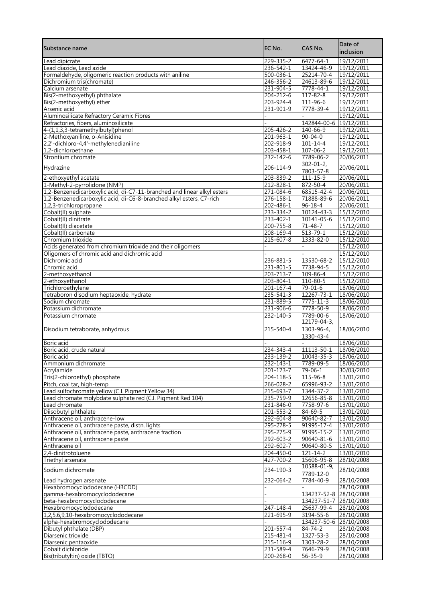| Substance name                                                               | EC No.                       | CAS No.                      | Date of<br>inclusion     |
|------------------------------------------------------------------------------|------------------------------|------------------------------|--------------------------|
| Lead dipicrate                                                               | 229-335-2                    | 6477-64-1                    | 19/12/2011               |
| Lead diazide, Lead azide                                                     | 236-542-1                    | 13424-46-9                   | 19/12/2011               |
| Formaldehyde, oligomeric reaction products with aniline                      | 500-036-1                    | 25214-70-4                   | 19/12/2011               |
| Dichromium tris(chromate)                                                    | 246-356-2                    | 24613-89-6                   | 19/12/2011               |
| Calcium arsenate                                                             | 231-904-5                    | $7778 - 44 - 1$              | 19/12/2011               |
| Bis(2-methoxyethyl) phthalate                                                | 204-212-6                    | $117 - 82 - 8$               | 19/12/2011               |
| Bis(2-methoxyethyl) ether<br>Arsenic acid                                    | 203-924-4<br>231-901-9       | 111-96-6<br>7778-39-4        | 19/12/2011<br>19/12/2011 |
| Aluminosilicate Refractory Ceramic Fibres                                    |                              |                              | 19/12/2011               |
| Refractories, fibers, aluminosilicate                                        |                              | 142844-00-6                  | 19/12/2011               |
| 4-(1,1,3,3-tetramethylbutyl)phenol                                           | $205 - 426 - 2$              | 140-66-9                     | 19/12/2011               |
| 2-Methoxyaniline, o-Anisidine                                                | $201 - 963 - 1$              | $90 - 04 - 0$                | 19/12/2011               |
| 2,2'-dichloro-4,4'-methylenedianiline                                        | 202-918-9                    | $101 - 14 - 4$               | 19/12/2011               |
| 1,2-dichloroethane                                                           | $203 - 458 - 1$              | $107 - 06 - 2$               | 19/12/2011               |
| Strontium chromate                                                           | $232 - 142 - 6$              | 7789-06-2                    | 20/06/2011               |
| Hydrazine                                                                    | 206-114-9                    | $302 - 01 - 2$<br>7803-57-8  | 20/06/2011               |
| 2-ethoxyethyl acetate                                                        | 203-839-2                    | 111-15-9                     | 20/06/2011               |
| 1-Methyl-2-pyrrolidone (NMP)                                                 | 212-828-1                    | 872-50-4                     | 20/06/2011               |
| 1,2-Benzenedicarboxylic acid, di-C7-11-branched and linear alkyl esters      | 271-084-6                    | 68515-42-4                   | 20/06/2011               |
| 1,2-Benzenedicarboxylic acid, di-C6-8-branched alkyl esters, C7-rich         | 276-158-1                    | 71888-89-6                   | 20/06/2011               |
| 1,2,3-trichloropropane                                                       | 202-486-1                    | $96 - 18 - 4$                | 20/06/2011               |
| Cobalt(II) sulphate<br>Cobalt(II) dinitrate                                  | 233-334-2<br>233-402-1       | 10124-43-3<br>10141-05-6     | 15/12/2010<br>15/12/2010 |
| Cobalt(II) diacetate                                                         | $200 - 755 - 8$              | $71 - 48 - 7$                | 15/12/2010               |
| Cobalt(II) carbonate                                                         | 208-169-4                    | $513 - 79 - 1$               | 15/12/2010               |
| Chromium trioxide                                                            | $215 - 607 - 8$              | 1333-82-0                    | 15/12/2010               |
| Acids generated from chromium trioxide and their oligomers                   |                              |                              | 15/12/2010               |
| Oligomers of chromic acid and dichromic acid                                 |                              |                              | 15/12/2010               |
| Dichromic acid                                                               | $236 - 881 - 5$              | 13530-68-2                   | 15/12/2010               |
| Chromic acid                                                                 | 231-801-5                    | 7738-94-5                    | 15/12/2010               |
| 2-methoxyethanol                                                             | $203 - 713 - 7$              | 109-86-4                     | 15/12/2010               |
| 2-ethoxyethanol                                                              | 203-804-1                    | 110-80-5                     | 15/12/2010               |
| Trichloroethylene                                                            | 201-167-4                    | $79 - 01 - 6$                | 18/06/2010               |
| Tetraboron disodium heptaoxide, hydrate                                      | $235 - 541 - 3$              | 12267-73-1                   | 18/06/2010               |
| Sodium chromate<br>Potassium dichromate                                      | 231-889-5                    | $7775 - 11 - 3$<br>7778-50-9 | 18/06/2010<br>18/06/2010 |
| Potassium chromate                                                           | 231-906-6<br>$232 - 140 - 5$ | 7789-00-6                    | 18/06/2010               |
|                                                                              |                              | 12179-04-3,                  |                          |
| Disodium tetraborate, anhydrous                                              | 215-540-4                    | 1303-96-4,<br>1330-43-4      | 18/06/2010               |
| Boric acid                                                                   |                              |                              | 18/06/2010               |
| Boric acid, crude natural                                                    | 234-343-4                    | 11113-50-1                   | 18/06/2010               |
| Boric acid                                                                   | 233-139-2                    | 10043-35-3                   | 18/06/2010               |
| Ammonium dichromate                                                          | $232 - 143 - 1$              | 7789-09-5                    | 18/06/2010               |
| Acrylamide                                                                   | 201-173-7                    | 79-06-1                      | 30/03/2010               |
| Tris(2-chloroethyl) phosphate                                                | 204-118-5                    | 115-96-8                     | 13/01/2010               |
| Pitch, coal tar, high-temp.                                                  | 266-028-2                    | 65996-93-2                   | 13/01/2010               |
| Lead sulfochromate yellow (C.I. Pigment Yellow 34)                           | 215-693-7                    | 1344-37-2                    | 13/01/2010               |
| Lead chromate molybdate sulphate red (C.I. Pigment Red 104)<br>Lead chromate | 235-759-9                    | 12656-85-8                   | 13/01/2010               |
| Diisobutyl phthalate                                                         | 231-846-0<br>201-553-2       | 7758-97-6<br>84-69-5         | 13/01/2010<br>13/01/2010 |
| Anthracene oil, anthracene-low                                               | 292-604-8                    | 90640-82-7                   | 13/01/2010               |
| Anthracene oil, anthracene paste, distn. lights                              | 295-278-5                    | 91995-17-4                   | 13/01/2010               |
| Anthracene oil, anthracene paste, anthracene fraction                        | 295-275-9                    | 91995-15-2                   | 13/01/2010               |
| Anthracene oil, anthracene paste                                             | 292-603-2                    | 90640-81-6                   | 13/01/2010               |
| Anthracene oil                                                               | 292-602-7                    | 90640-80-5                   | 13/01/2010               |
| 2,4-dinitrotoluene                                                           | 204-450-0                    | $121 - 14 - 2$               | 13/01/2010               |
| Triethyl arsenate                                                            | 427-700-2                    | 15606-95-8                   | 28/10/2008               |
| Sodium dichromate                                                            | 234-190-3                    | 10588-01-9,<br>7789-12-0     | 28/10/2008               |
| Lead hydrogen arsenate                                                       | 232-064-2                    | 7784-40-9                    | 28/10/2008               |
| Hexabromocyclododecane (HBCDD)                                               |                              |                              | 28/10/2008               |
| gamma-hexabromocyclododecane                                                 |                              | 134237-52-8                  | 28/10/2008               |
| beta-hexabromocyclododecane                                                  |                              | 134237-51-7 28/10/2008       |                          |
| Hexabromocyclododecane<br>1,2,5,6,9,10-hexabromocyclododecane                | 247-148-4<br>221-695-9       | 25637-99-4<br>3194-55-6      | 28/10/2008<br>28/10/2008 |
| alpha-hexabromocyclododecane                                                 |                              | 134237-50-6                  | 28/10/2008               |
| Dibutyl phthalate (DBP)                                                      | 201-557-4                    | 84-74-2                      | 28/10/2008               |
| Diarsenic trioxide                                                           | 215-481-4                    | 1327-53-3                    | 28/10/2008               |
| Diarsenic pentaoxide                                                         | 215-116-9                    | 1303-28-2                    | 28/10/2008               |
| Cobalt dichloride                                                            | 231-589-4                    | 7646-79-9                    | 28/10/2008               |
| Bis(tributyltin) oxide (TBTO)                                                | 200-268-0                    | $56 - 35 - 9$                | 28/10/2008               |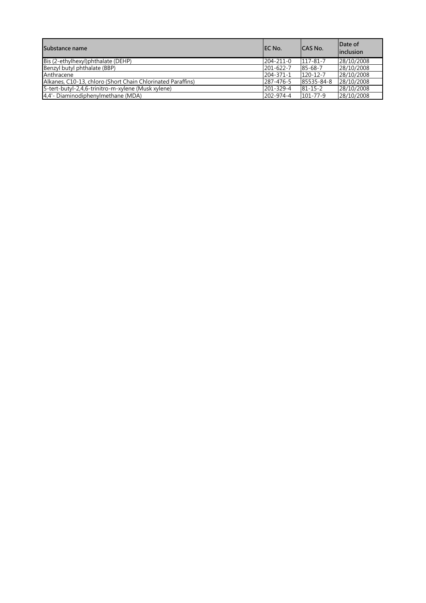| Substance name                                              | IEC No.         | ICAS No.       | Date of<br>linclusion |
|-------------------------------------------------------------|-----------------|----------------|-----------------------|
| Bis (2-ethylhexyl)phthalate (DEHP)                          | $204 - 211 - 0$ | $117 - 81 - 7$ | 28/10/2008            |
| Benzyl butyl phthalate (BBP)                                | 201-622-7       | 85-68-7        | 28/10/2008            |
| Anthracene                                                  | 204-371-1       | $120 - 12 - 7$ | 28/10/2008            |
| Alkanes, C10-13, chloro (Short Chain Chlorinated Paraffins) | 287-476-5       | 85535-84-8     | 28/10/2008            |
| 5-tert-butyl-2,4,6-trinitro-m-xylene (Musk xylene)          | 201-329-4       | $81 - 15 - 2$  | 28/10/2008            |
| 4,4'- Diaminodiphenylmethane (MDA)                          | 202-974-4       | $101 - 77 - 9$ | 28/10/2008            |